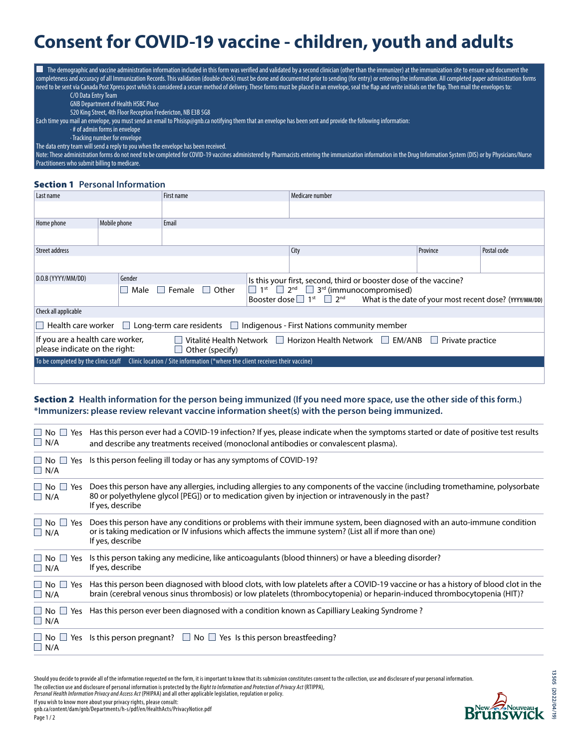# **Consent for COVID-19 vaccine - children, youth and adults**

| . .<br>The demographic and vaccine administration information included in this form was verified and validated by a second clinician (other than the immunizer) at the immunization site to ensure and document the<br>completeness and accuracy of all Immunization Records. This validation (double check) must be done and documented prior to sending (for entry) or entering the information. All completed paper administration forms |
|---------------------------------------------------------------------------------------------------------------------------------------------------------------------------------------------------------------------------------------------------------------------------------------------------------------------------------------------------------------------------------------------------------------------------------------------|
| need to be sent via Canada Post Xpress post which is considered a secure method of delivery. These forms must be placed in an envelope, seal the flap and write initials on the flap. Then mail the envelopes to:                                                                                                                                                                                                                           |
| C/O Data Entry Team                                                                                                                                                                                                                                                                                                                                                                                                                         |
| <b>GNB Department of Health HSBC Place</b>                                                                                                                                                                                                                                                                                                                                                                                                  |
| 520 King Street, 4th Floor Reception Fredericton, NB E3B 5G8                                                                                                                                                                                                                                                                                                                                                                                |
| Each time you mail an envelope, you must send an email to Phisisp@gnb.ca notifying them that an envelope has been sent and provide the following information:                                                                                                                                                                                                                                                                               |
| $\cdot$ # of admin forms in envelope                                                                                                                                                                                                                                                                                                                                                                                                        |
| · Tracking number for envelope                                                                                                                                                                                                                                                                                                                                                                                                              |
| The data entry team will send a reply to you when the envelope has been received.                                                                                                                                                                                                                                                                                                                                                           |
| Note: These administration forms do not need to be completed for COVID-19 vaccines administered by Pharmacists entering the immunization information in the Drug Information System (DIS) or by Physicians/Nurse                                                                                                                                                                                                                            |
| Practitioners who submit billing to medicare.                                                                                                                                                                                                                                                                                                                                                                                               |

#### Section 1 **Personal Information**

| Last name                                                                                                                                                                             |                                                                                                                   | First name |                                                                   | Medicare number                                                                                                                                                                    |  |          |             |  |  |
|---------------------------------------------------------------------------------------------------------------------------------------------------------------------------------------|-------------------------------------------------------------------------------------------------------------------|------------|-------------------------------------------------------------------|------------------------------------------------------------------------------------------------------------------------------------------------------------------------------------|--|----------|-------------|--|--|
|                                                                                                                                                                                       |                                                                                                                   |            |                                                                   |                                                                                                                                                                                    |  |          |             |  |  |
| Home phone                                                                                                                                                                            | Mobile phone                                                                                                      | Email      |                                                                   |                                                                                                                                                                                    |  |          |             |  |  |
|                                                                                                                                                                                       |                                                                                                                   |            |                                                                   |                                                                                                                                                                                    |  |          |             |  |  |
| Street address                                                                                                                                                                        |                                                                                                                   |            |                                                                   | City                                                                                                                                                                               |  | Province | Postal code |  |  |
|                                                                                                                                                                                       |                                                                                                                   |            |                                                                   |                                                                                                                                                                                    |  |          |             |  |  |
| D.O.B (YYYY/MM/DD)<br>Gender                                                                                                                                                          |                                                                                                                   |            | Is this your first, second, third or booster dose of the vaccine? |                                                                                                                                                                                    |  |          |             |  |  |
| Female<br>  Other<br>Male                                                                                                                                                             |                                                                                                                   |            |                                                                   | $1^{st}$ 2 <sup>nd</sup> 3 <sup>rd</sup> (immunocompromised)<br>Booster dose $\Box$ 1 <sup>st</sup> $\Box$ 2 <sup>nd</sup> What is the date of your most recent dose? (YYYY/MM/DD) |  |          |             |  |  |
| Check all applicable                                                                                                                                                                  |                                                                                                                   |            |                                                                   |                                                                                                                                                                                    |  |          |             |  |  |
| $\Box$ Health care worker $\Box$ Long-term care residents $\Box$ Indigenous - First Nations community member                                                                          |                                                                                                                   |            |                                                                   |                                                                                                                                                                                    |  |          |             |  |  |
| If you are a health care worker,<br>Vitalité Health Network □ Horizon Health Network □ EM/ANB<br>Private practice<br>$\mathbf{I}$<br>please indicate on the right:<br>Other (specify) |                                                                                                                   |            |                                                                   |                                                                                                                                                                                    |  |          |             |  |  |
|                                                                                                                                                                                       | To be completed by the clinic staff (linic location / Site information (*where the client receives their vaccine) |            |                                                                   |                                                                                                                                                                                    |  |          |             |  |  |
|                                                                                                                                                                                       |                                                                                                                   |            |                                                                   |                                                                                                                                                                                    |  |          |             |  |  |

## Section 2 **Health information for the person being immunized (If you need more space, use the other side of this form.) \*Immunizers: please review relevant vaccine information sheet(s) with the person being immunized.**

| $\Box$ N/A                            | $\Box$ No $\Box$ Yes Has this person ever had a COVID-19 infection? If yes, please indicate when the symptoms started or date of positive test results<br>and describe any treatments received (monoclonal antibodies or convalescent plasma).                |
|---------------------------------------|---------------------------------------------------------------------------------------------------------------------------------------------------------------------------------------------------------------------------------------------------------------|
| $\Box$ N/A                            | $\Box$ No $\Box$ Yes Is this person feeling ill today or has any symptoms of COVID-19?                                                                                                                                                                        |
| $\Box$ No $\Box$ Yes<br>$\Box$ N/A    | Does this person have any allergies, including allergies to any components of the vaccine (including tromethamine, polysorbate<br>80 or polyethylene glycol [PEG]) or to medication given by injection or intravenously in the past?<br>If yes, describe      |
| $\Box$ No $\Box$ Yes<br>$\Box$ N/A    | Does this person have any conditions or problems with their immune system, been diagnosed with an auto-immune condition<br>or is taking medication or IV infusions which affects the immune system? (List all if more than one)<br>If yes, describe           |
| $\Box$ No $\Box$ Yes<br>$\Box$ N/A    | Is this person taking any medicine, like anticoagulants (blood thinners) or have a bleeding disorder?<br>If yes, describe                                                                                                                                     |
| $\Box$ No $\Box$ Yes<br>$\Box$ N/A    | Has this person been diagnosed with blood clots, with low platelets after a COVID-19 vaccine or has a history of blood clot in the<br>brain (cerebral venous sinus thrombosis) or low platelets (thrombocytopenia) or heparin-induced thrombocytopenia (HIT)? |
| No     Yes<br>$\Box$ N/A              | Has this person ever been diagnosed with a condition known as Capilliary Leaking Syndrome?                                                                                                                                                                    |
| $\Box$ No $\Box$<br>Yes<br>$\Box$ N/A | Is this person pregnant? $\Box$ No $\Box$ Yes Is this person breastfeeding?                                                                                                                                                                                   |

13505<sub>(2022/04/19</sub> **(2022/04/19)**

Should you decide to provide all of the information requested on the form, it is important to know that its submission constitutes consent to the collection, use and disclosure of your personal information. The collection use and disclosure of personal information is protected by the *Right to Information and Protection of Privacy Act* (RTIPPA), *Personal Health Information Privacy and Access Act* (PHIPAA) and all other applicable legislation, regulation or policy.

If you wish to know more about your privacy rights, please consult: gnb.ca/content/dam/gnb/Departments/h-s/pdf/en/HealthActs/PrivacyNotice.pdf